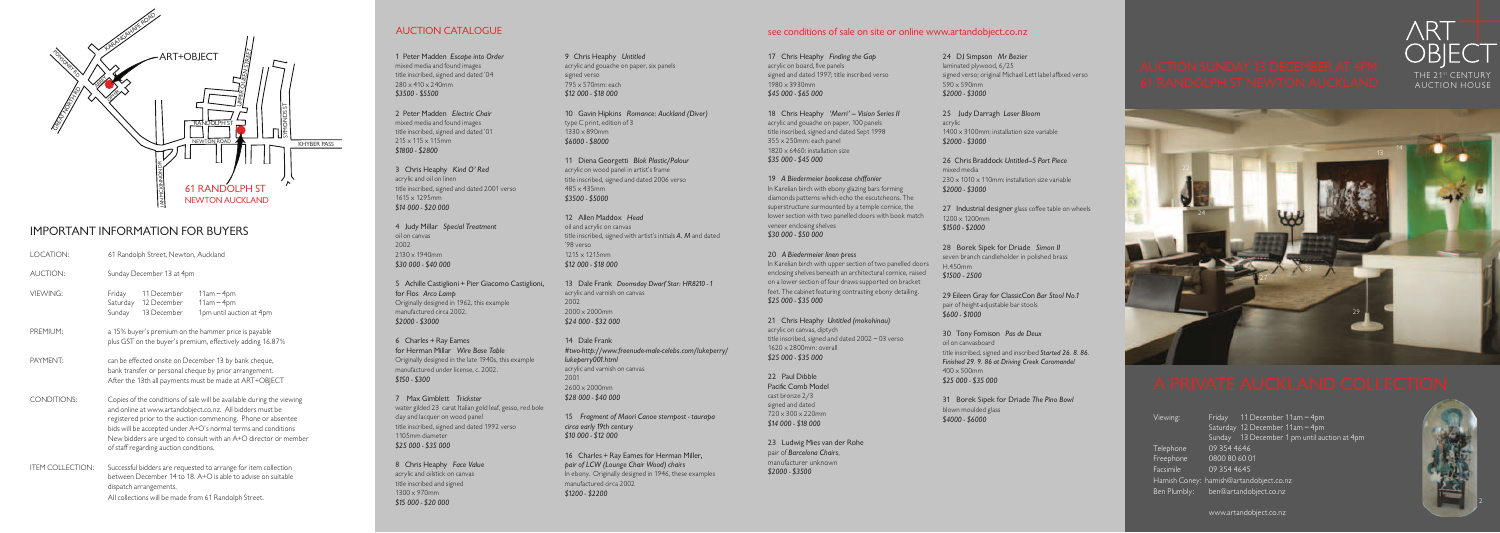

# Important Information for Buyers

| LOCATION:               | 61 Randolph Street, Newton, Auckland                                                                                                                                                                                                                                                                                                                                              |
|-------------------------|-----------------------------------------------------------------------------------------------------------------------------------------------------------------------------------------------------------------------------------------------------------------------------------------------------------------------------------------------------------------------------------|
| <b>AUCTION:</b>         | Sunday December 13 at 4pm                                                                                                                                                                                                                                                                                                                                                         |
| VIFWING:                | 11 December<br>$11am - 4pm$<br>Friday<br>$11am - 4pm$<br>Saturday<br>12 December<br>1pm until auction at 4pm<br>Sunday<br>13 December                                                                                                                                                                                                                                             |
| PREMIUM:                | a 15% buyer's premium on the hammer price is payable<br>plus GST on the buyer's premium, effectively adding 16.87%                                                                                                                                                                                                                                                                |
| PAYMENT:                | can be effected onsite on December 13 by bank cheque,<br>bank transfer or personal cheque by prior arrangement.<br>After the 13th all payments must be made at ART+OBJECT                                                                                                                                                                                                         |
| <b>CONDITIONS:</b>      | Copies of the conditions of sale will be available during the viewing<br>and online at www.artandobject.co.nz. All bidders must be<br>registered prior to the auction commencing. Phone or absentee<br>bids will be accepted under A+O's normal terms and conditions<br>New bidders are urged to consult with an A+O director or member<br>of staff regarding auction conditions. |
| <b>ITEM COLLECTION:</b> | Successful bidders are requested to arrange for item collection<br>between December 14 to 18. A+O is able to advise on suitable<br>dispatch arrangements.<br>All collections will be made from 61 Randolph Street.                                                                                                                                                                |

1 Peter Madden Escape into Order mixed media and found images title inscribed, signed and dated '04 280 x 410 x 240mm \$3500 - \$5500

2 Peter Madden Electric Chair mixed media and found images title inscribed, signed and dated '01  $215 \times 115 \times 115$ mm \$1800 - \$2800

5 Achille Castiglioni + Pier Giacomo Castiglioni, for Flos Arco Lamp Originally designed in 1962, this example manufactured circa 2002. \$2000 - \$3000

8 Chris Heaphy Face Value acrylic and oilstick on canvas title inscribed and signed 1300 x 970mm \$15 000 - \$20 000

Viewing: Friday 11 December 11am – 4pm Saturday 12 December 11am – 4pm Sunday 13 December 1 pm until auction at 4pm Telephone 09 354 4646 Freephone 0800 80 60 01 Facsimile 09 354 4645 Hamish Coney: hamish@artandobject.co.nz Ben Plumbly: ben@artandobject.co.nz

www.artandobject.co.nz





13 Dale Frank Doomsday Dwarf Star: HR8210 - 1 acrylic and varnish on canvas 2002 2000 x 2000mm \$24 000 - \$32 000

17 Chris Heaphy Finding the Gap acrylic on board, five panels signed and dated 1997; title inscribed verso 1980 x 3930mm \$45 000 - \$65 000

3 Chris Heaphy Kind O' Red acrylic and oil on linen title inscribed, signed and dated 2001 verso 1615 x 1295mm \$14 000 - \$20 000

18 Chris Heaphy 'Merri' - Vision Series II acrylic and gouache on paper, 100 panels title inscribed, signed and dated Sept 1998 355 x 250mm: each panel 1820 x 6460: installation size

4 Judy Millar Special Treatment oil on canvas 2002 2130 x 1940mm \$30 000 - \$40 000

6 Charles + Ray Eames for Herman Millar Wire Base Table Originally designed in the late 1940s, this example manufactured under license, c. 2002. \$150 - \$300

21 Chris Heaphy Untitled (mokohinau) acrylic on canvas, diptych title inscribed, signed and dated 2002 – 03 verso 1620 x 2800mm: overall \$25 000 - \$35 000

22 Paul Dibble Pacific Comb Model cast bronze 2/3 signed and dated 720 x 300 x 220mm \$14 000 - \$18 000

7 Max Gimblett Trickster water gilded 23 carat Italian gold leaf, gesso, red bole clay and lacquer on wood panel title inscribed, signed and dated 1992 verso 1105mm diameter \$25 000 - \$35 000

24 DJ Simpson Mr Bezier laminated plywood, 6/25 signed verso; original Michael Lett label affixed verso 590 x 590mm \$2000 - \$3000

25 Judy Darragh Laser Bloom acrylic 1400 x 3100mm: installation size variable \$2000 - \$3000

27 Industrial designer glass coffee table on wheels 1200 x 1200mm \$1500 - \$2000

28 Borek Sipek for Driade Simon II seven branch candleholder in polished brass H.450mm \$1500 - 2500

9 Chris Heaphy Untitled acrylic and gouache on paper, six panels signed verso 795 x 570mm: each \$12 000 - \$18 000

> 29 Eileen Gray for ClassicCon Bar Stool No.1 pair of height-adjustable bar stools \$600 - \$1000

30 Tony Fomison Pas de Deux oil on canvasboard title inscribed, signed and inscribed Started 26. 8. 86. Finished 29. 9. 86 at Driving Creek Coromandel 400 x 500mm \$25 000 - \$35 000

10 Gavin Hipkins Romance: Auckland (Diver) type C print, edition of 3 1330 x 890mm \$6000 - \$8000

11 Diena Georgetti Blok Plastic/Palour acrylic on wood panel in artist's frame title inscribed, signed and dated 2006 verso 485 x 435mm \$3500 - \$5000

12 Allen Maddox Head oil and acrylic on canvas title inscribed, signed with artist's initials A. M and dated '98 verso 1215 x 1215mm \$12 000 - \$18 000

14 Dale Frank #two-http://www.freenude-male-celebs.com/lukeperry/ lukeperry001.html acrylic and varnish on canvas 2001 2600 x 2000mm \$28 000 - \$40 000

15 Fragment of Maori Canoe sternpost - taurapa circa early 19th century \$10 000 - \$12 000

16 Charles + Ray Eames for Herman Miller, pair of LCW (Lounge Chair Wood) chairs In ebony. Originally designed in 1946, these examples manufactured circa 2002 \$1200 - \$2200

## AUCTION CATALOGUE SERVICE SERVICE SERVICE SEE CONDUCTION CATALOGUE SEE CONDUCTION CATALOGUE

\$35 000 - \$45 000

19 A Biedermeier bookcase chiffonier In Karelian birch with ebony glazing bars forming diamonds patterns which echo the escutcheons. The superstructure surmounted by a temple cornice, the lower section with two panelled doors with book match veneer enclosing shelves \$30 000 - \$50 000

### 20 A Biedermeier linen press

In Karelian birch with upper section of two panelled doors enclosing shelves beneath an architectural cornice, raised on a lower section of four draws supported on bracket feet. The cabinet featuring contrasting ebony detailing. \$25 000 - \$35 000

23 Ludwig Mies van der Rohe pair of Barcelona Chairs, manufacturer unknown \$2000 - \$3500

26 Chris Braddock Untitled–5 Part Piece mixed media  $230 \times 1010 \times 110$ mm: installation size variable \$2000 - \$3000

31 Borek Sipek for Driade The Pino Bowl blown moulded glass \$4000 - \$6000

THE 21st CENTURY AUCTION HOUSE